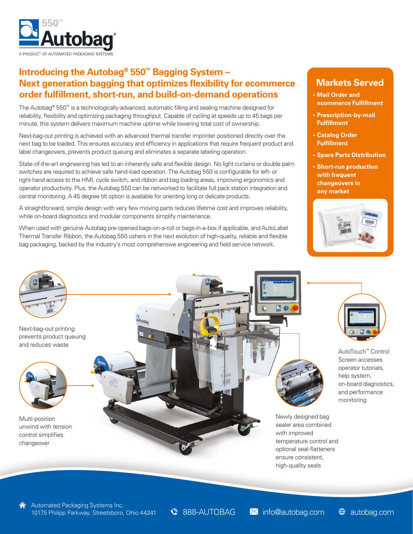

### **Introducing the Autobag® 550™ Bagging System – Next generation bagging that optimizes flexibility for ecommerce order fulfillment, short-run, and build-on-demand operations**

The Autobag® 550™ is a technologically-advanced, automatic filling and sealing machine designed for reliability, flexibility and optimizing packaging throughput. Capable of cycling at speeds up to 45 bags per minute, this system delivers maximum machine uptime while lowering total cost of ownership.

Next-bag-out printing is achieved with an advanced thermal transfer imprinter positioned directly over the next bag to be loaded. This ensures accuracy and efficiency in applications that require frequent product and label changeovers, prevents product queuing and eliminates a separate labeling operation.

State-of-the-art engineering has led to an inherently safe and flexible design. No light curtains or double palm switches are required to achieve safe hand-load operation. The Autobag 550 is configurable for left- or right-hand access to the HMI, cycle switch, and ribbon and bag loading areas, improving ergonomics and operator productivity. Plus, the Autobag 550 can be networked to facilitate full pack station integration and central monitoring. A 45 degree tilt option is available for orienting long or delicate products.

A straightforward, simple design with very few moving parts reduces lifetime cost and improves reliability, while on-board diagnostics and modular components simplify maintenance.

When used with genuine Autobag pre-opened bags-on-a-roll or bags-in-a-box if applicable, and AutoLabel Thermal Transfer Ribbon, the Autobag 550 ushers in the next evolution of high-quality, reliable and flexible bag packaging, backed by the industry's most comprehensive engineering and field service network.

### **Markets Served**

- **• Mail Order and ecommerce Fulfillment**
- **• Prescription-by-mail Fulfillment**
- **• Catalog Order Fulfillment**
- **• Spare Parts Distribution**
- **• Short-run production with frequent changeovers in any market**





AutoTouch™ Control Screen accesses

operator tutorials, help system, on-board diagnostics, and performance monitoring

Newly designed bag sealer area combined with improved temperature control and optional seal-flatteners ensure consistent, high-quality seals

Automated Packaging Systems Inc. 10175 Philipp Parkway, Streetsboro, Ohio 44241 **&** 888-AUTOBAG **X** info@autobag.com  $\oplus$  autobag.com

**888-AUTOBAG M** info@autobag.com